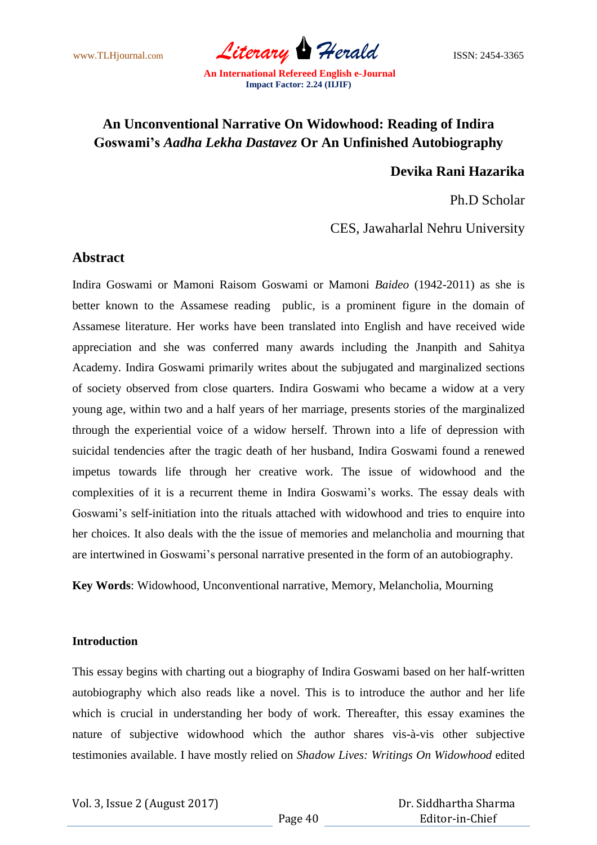

# **An Unconventional Narrative On Widowhood: Reading of Indira Goswami's** *Aadha Lekha Dastavez* **Or An Unfinished Autobiography**

# **Devika Rani Hazarika**

Ph.D Scholar

CES, Jawaharlal Nehru University

# **Abstract**

Indira Goswami or Mamoni Raisom Goswami or Mamoni *Baideo* (1942-2011) as she is better known to the Assamese reading public, is a prominent figure in the domain of Assamese literature. Her works have been translated into English and have received wide appreciation and she was conferred many awards including the Jnanpith and Sahitya Academy. Indira Goswami primarily writes about the subjugated and marginalized sections of society observed from close quarters. Indira Goswami who became a widow at a very young age, within two and a half years of her marriage, presents stories of the marginalized through the experiential voice of a widow herself. Thrown into a life of depression with suicidal tendencies after the tragic death of her husband, Indira Goswami found a renewed impetus towards life through her creative work. The issue of widowhood and the complexities of it is a recurrent theme in Indira Goswami"s works. The essay deals with Goswami's self-initiation into the rituals attached with widowhood and tries to enquire into her choices. It also deals with the the issue of memories and melancholia and mourning that are intertwined in Goswami"s personal narrative presented in the form of an autobiography.

**Key Words**: Widowhood, Unconventional narrative, Memory, Melancholia, Mourning

### **Introduction**

This essay begins with charting out a biography of Indira Goswami based on her half-written autobiography which also reads like a novel. This is to introduce the author and her life which is crucial in understanding her body of work. Thereafter, this essay examines the nature of subjective widowhood which the author shares vis-à-vis other subjective testimonies available. I have mostly relied on *Shadow Lives: Writings On Widowhood* edited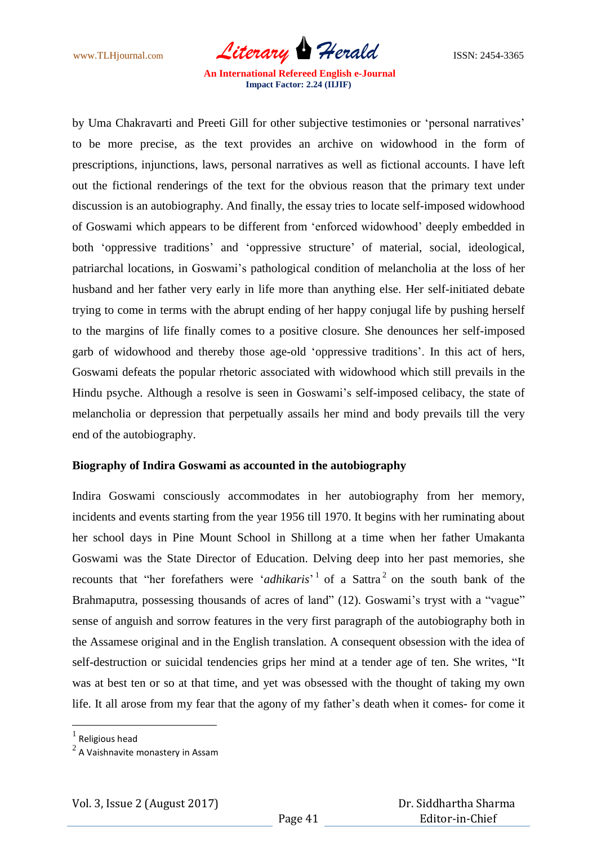www.TLHjournal.com *Literary Herald*ISSN: 2454-3365

by Uma Chakravarti and Preeti Gill for other subjective testimonies or 'personal narratives' to be more precise, as the text provides an archive on widowhood in the form of prescriptions, injunctions, laws, personal narratives as well as fictional accounts. I have left out the fictional renderings of the text for the obvious reason that the primary text under discussion is an autobiography. And finally, the essay tries to locate self-imposed widowhood of Goswami which appears to be different from "enforced widowhood" deeply embedded in both 'oppressive traditions' and 'oppressive structure' of material, social, ideological, patriarchal locations, in Goswami"s pathological condition of melancholia at the loss of her husband and her father very early in life more than anything else. Her self-initiated debate trying to come in terms with the abrupt ending of her happy conjugal life by pushing herself to the margins of life finally comes to a positive closure. She denounces her self-imposed garb of widowhood and thereby those age-old "oppressive traditions". In this act of hers, Goswami defeats the popular rhetoric associated with widowhood which still prevails in the Hindu psyche. Although a resolve is seen in Goswami's self-imposed celibacy, the state of melancholia or depression that perpetually assails her mind and body prevails till the very end of the autobiography.

#### **Biography of Indira Goswami as accounted in the autobiography**

Indira Goswami consciously accommodates in her autobiography from her memory, incidents and events starting from the year 1956 till 1970. It begins with her ruminating about her school days in Pine Mount School in Shillong at a time when her father Umakanta Goswami was the State Director of Education. Delving deep into her past memories, she recounts that "her forefathers were '*adhikaris*'<sup>1</sup> of a Sattra<sup>2</sup> on the south bank of the Brahmaputra, possessing thousands of acres of land" (12). Goswami's tryst with a "vague" sense of anguish and sorrow features in the very first paragraph of the autobiography both in the Assamese original and in the English translation. A consequent obsession with the idea of self-destruction or suicidal tendencies grips her mind at a tender age of ten. She writes, "It was at best ten or so at that time, and yet was obsessed with the thought of taking my own life. It all arose from my fear that the agony of my father's death when it comes- for come it

 $\overline{a}$ 

 $<sup>1</sup>$  Religious head</sup>

 $^2$  A Vaishnavite monastery in Assam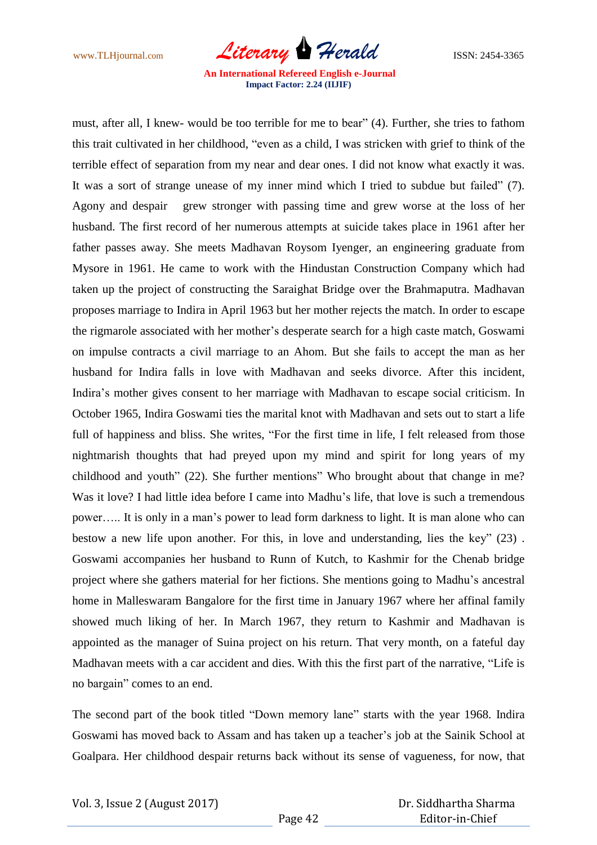www.TLHjournal.com *Literary Herald*ISSN: 2454-3365

must, after all, I knew- would be too terrible for me to bear" (4). Further, she tries to fathom this trait cultivated in her childhood, "even as a child, I was stricken with grief to think of the terrible effect of separation from my near and dear ones. I did not know what exactly it was. It was a sort of strange unease of my inner mind which I tried to subdue but failed" (7). Agony and despair grew stronger with passing time and grew worse at the loss of her husband. The first record of her numerous attempts at suicide takes place in 1961 after her father passes away. She meets Madhavan Roysom Iyenger, an engineering graduate from Mysore in 1961. He came to work with the Hindustan Construction Company which had taken up the project of constructing the Saraighat Bridge over the Brahmaputra. Madhavan proposes marriage to Indira in April 1963 but her mother rejects the match. In order to escape the rigmarole associated with her mother"s desperate search for a high caste match, Goswami on impulse contracts a civil marriage to an Ahom. But she fails to accept the man as her husband for Indira falls in love with Madhavan and seeks divorce. After this incident, Indira"s mother gives consent to her marriage with Madhavan to escape social criticism. In October 1965, Indira Goswami ties the marital knot with Madhavan and sets out to start a life full of happiness and bliss. She writes, "For the first time in life, I felt released from those nightmarish thoughts that had preyed upon my mind and spirit for long years of my childhood and youth" (22). She further mentions" Who brought about that change in me? Was it love? I had little idea before I came into Madhu's life, that love is such a tremendous power….. It is only in a man"s power to lead form darkness to light. It is man alone who can bestow a new life upon another. For this, in love and understanding, lies the key" (23) . Goswami accompanies her husband to Runn of Kutch, to Kashmir for the Chenab bridge project where she gathers material for her fictions. She mentions going to Madhu"s ancestral home in Malleswaram Bangalore for the first time in January 1967 where her affinal family showed much liking of her. In March 1967, they return to Kashmir and Madhavan is appointed as the manager of Suina project on his return. That very month, on a fateful day Madhavan meets with a car accident and dies. With this the first part of the narrative, "Life is no bargain" comes to an end.

The second part of the book titled "Down memory lane" starts with the year 1968. Indira Goswami has moved back to Assam and has taken up a teacher"s job at the Sainik School at Goalpara. Her childhood despair returns back without its sense of vagueness, for now, that

 Dr. Siddhartha Sharma Editor-in-Chief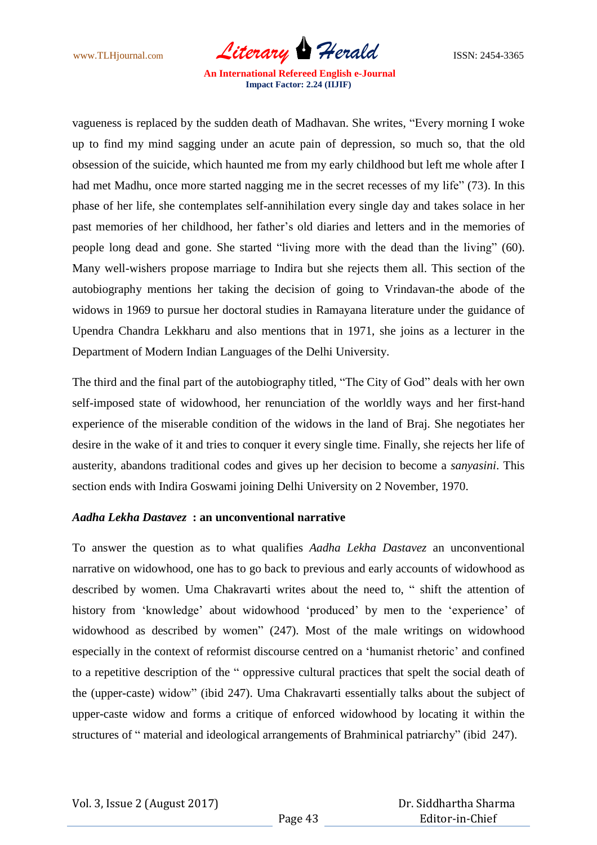www.TLHjournal.com *Literary Herald*ISSN: 2454-3365

vagueness is replaced by the sudden death of Madhavan. She writes, "Every morning I woke up to find my mind sagging under an acute pain of depression, so much so, that the old obsession of the suicide, which haunted me from my early childhood but left me whole after I had met Madhu, once more started nagging me in the secret recesses of my life" (73). In this phase of her life, she contemplates self-annihilation every single day and takes solace in her past memories of her childhood, her father"s old diaries and letters and in the memories of people long dead and gone. She started "living more with the dead than the living" (60). Many well-wishers propose marriage to Indira but she rejects them all. This section of the autobiography mentions her taking the decision of going to Vrindavan-the abode of the widows in 1969 to pursue her doctoral studies in Ramayana literature under the guidance of Upendra Chandra Lekkharu and also mentions that in 1971, she joins as a lecturer in the Department of Modern Indian Languages of the Delhi University.

The third and the final part of the autobiography titled, "The City of God" deals with her own self-imposed state of widowhood, her renunciation of the worldly ways and her first-hand experience of the miserable condition of the widows in the land of Braj. She negotiates her desire in the wake of it and tries to conquer it every single time. Finally, she rejects her life of austerity, abandons traditional codes and gives up her decision to become a *sanyasini*. This section ends with Indira Goswami joining Delhi University on 2 November, 1970.

#### *Aadha Lekha Dastavez* **: an unconventional narrative**

To answer the question as to what qualifies *Aadha Lekha Dastavez* an unconventional narrative on widowhood, one has to go back to previous and early accounts of widowhood as described by women. Uma Chakravarti writes about the need to, " shift the attention of history from 'knowledge' about widowhood 'produced' by men to the 'experience' of widowhood as described by women" (247). Most of the male writings on widowhood especially in the context of reformist discourse centred on a "humanist rhetoric" and confined to a repetitive description of the " oppressive cultural practices that spelt the social death of the (upper-caste) widow" (ibid 247). Uma Chakravarti essentially talks about the subject of upper-caste widow and forms a critique of enforced widowhood by locating it within the structures of " material and ideological arrangements of Brahminical patriarchy" (ibid 247).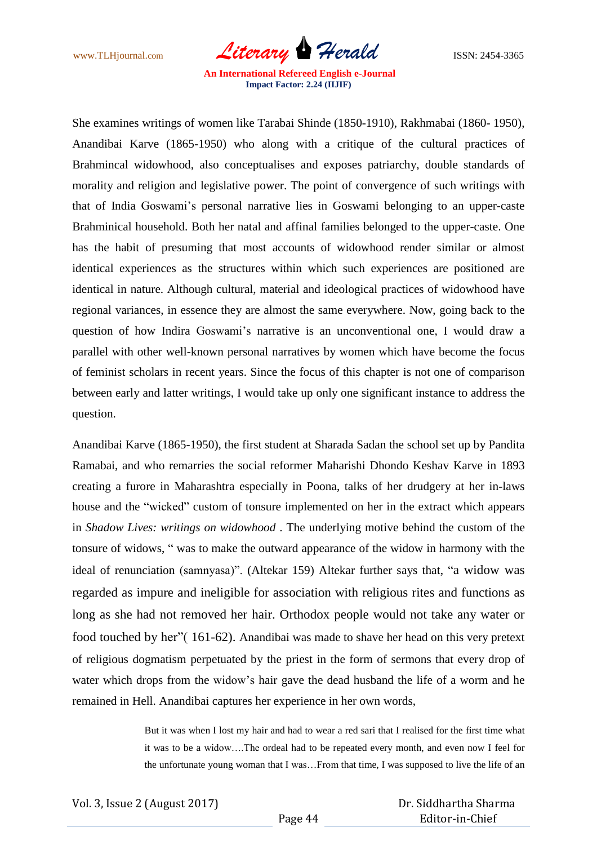www.TLHjournal.com *Literary Herald*ISSN: 2454-3365

She examines writings of women like Tarabai Shinde (1850-1910), Rakhmabai (1860- 1950), Anandibai Karve (1865-1950) who along with a critique of the cultural practices of Brahmincal widowhood, also conceptualises and exposes patriarchy, double standards of morality and religion and legislative power. The point of convergence of such writings with that of India Goswami"s personal narrative lies in Goswami belonging to an upper-caste Brahminical household. Both her natal and affinal families belonged to the upper-caste. One has the habit of presuming that most accounts of widowhood render similar or almost identical experiences as the structures within which such experiences are positioned are identical in nature. Although cultural, material and ideological practices of widowhood have regional variances, in essence they are almost the same everywhere. Now, going back to the question of how Indira Goswami"s narrative is an unconventional one, I would draw a parallel with other well-known personal narratives by women which have become the focus of feminist scholars in recent years. Since the focus of this chapter is not one of comparison between early and latter writings, I would take up only one significant instance to address the question.

Anandibai Karve (1865-1950), the first student at Sharada Sadan the school set up by Pandita Ramabai, and who remarries the social reformer Maharishi Dhondo Keshav Karve in 1893 creating a furore in Maharashtra especially in Poona, talks of her drudgery at her in-laws house and the "wicked" custom of tonsure implemented on her in the extract which appears in *Shadow Lives: writings on widowhood* . The underlying motive behind the custom of the tonsure of widows, " was to make the outward appearance of the widow in harmony with the ideal of renunciation (samnyasa)". (Altekar 159) Altekar further says that, "a widow was regarded as impure and ineligible for association with religious rites and functions as long as she had not removed her hair. Orthodox people would not take any water or food touched by her"( 161-62). Anandibai was made to shave her head on this very pretext of religious dogmatism perpetuated by the priest in the form of sermons that every drop of water which drops from the widow"s hair gave the dead husband the life of a worm and he remained in Hell. Anandibai captures her experience in her own words,

> But it was when I lost my hair and had to wear a red sari that I realised for the first time what it was to be a widow….The ordeal had to be repeated every month, and even now I feel for the unfortunate young woman that I was…From that time, I was supposed to live the life of an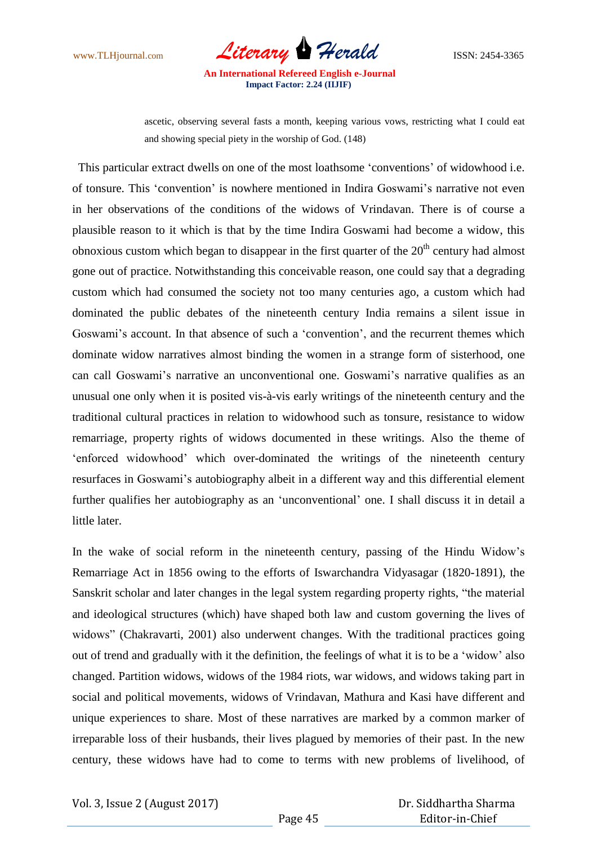

ascetic, observing several fasts a month, keeping various vows, restricting what I could eat and showing special piety in the worship of God. (148)

 This particular extract dwells on one of the most loathsome "conventions" of widowhood i.e. of tonsure. This "convention" is nowhere mentioned in Indira Goswami"s narrative not even in her observations of the conditions of the widows of Vrindavan. There is of course a plausible reason to it which is that by the time Indira Goswami had become a widow, this obnoxious custom which began to disappear in the first quarter of the  $20<sup>th</sup>$  century had almost gone out of practice. Notwithstanding this conceivable reason, one could say that a degrading custom which had consumed the society not too many centuries ago, a custom which had dominated the public debates of the nineteenth century India remains a silent issue in Goswami's account. In that absence of such a 'convention', and the recurrent themes which dominate widow narratives almost binding the women in a strange form of sisterhood, one can call Goswami"s narrative an unconventional one. Goswami"s narrative qualifies as an unusual one only when it is posited vis-à-vis early writings of the nineteenth century and the traditional cultural practices in relation to widowhood such as tonsure, resistance to widow remarriage, property rights of widows documented in these writings. Also the theme of "enforced widowhood" which over-dominated the writings of the nineteenth century resurfaces in Goswami"s autobiography albeit in a different way and this differential element further qualifies her autobiography as an "unconventional" one. I shall discuss it in detail a little later.

In the wake of social reform in the nineteenth century, passing of the Hindu Widow"s Remarriage Act in 1856 owing to the efforts of Iswarchandra Vidyasagar (1820-1891), the Sanskrit scholar and later changes in the legal system regarding property rights, "the material and ideological structures (which) have shaped both law and custom governing the lives of widows" (Chakravarti, 2001) also underwent changes. With the traditional practices going out of trend and gradually with it the definition, the feelings of what it is to be a "widow" also changed. Partition widows, widows of the 1984 riots, war widows, and widows taking part in social and political movements, widows of Vrindavan, Mathura and Kasi have different and unique experiences to share. Most of these narratives are marked by a common marker of irreparable loss of their husbands, their lives plagued by memories of their past. In the new century, these widows have had to come to terms with new problems of livelihood, of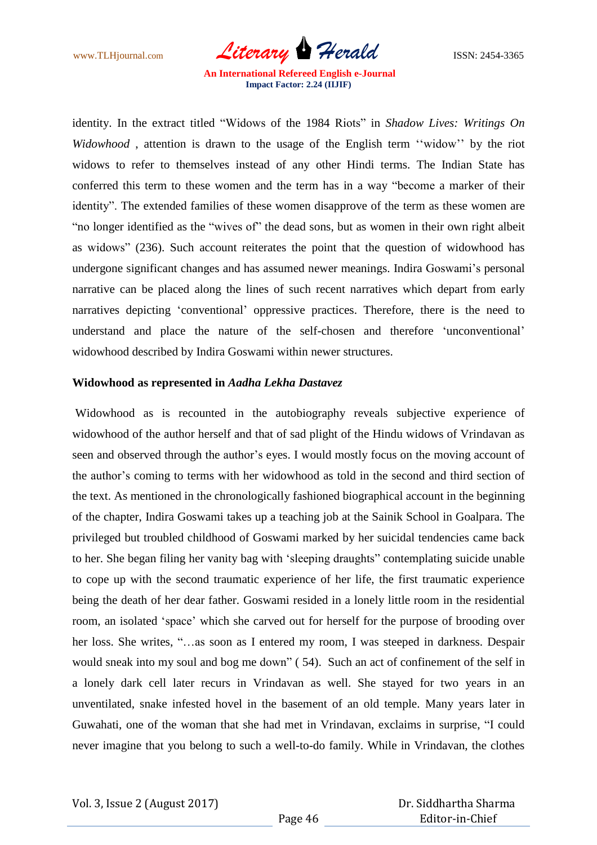www.TLHjournal.com *Literary Herald*ISSN: 2454-3365

identity. In the extract titled "Widows of the 1984 Riots" in *Shadow Lives: Writings On Widowhood*, attention is drawn to the usage of the English term "widow" by the riot widows to refer to themselves instead of any other Hindi terms. The Indian State has conferred this term to these women and the term has in a way "become a marker of their identity". The extended families of these women disapprove of the term as these women are "no longer identified as the "wives of" the dead sons, but as women in their own right albeit as widows" (236). Such account reiterates the point that the question of widowhood has undergone significant changes and has assumed newer meanings. Indira Goswami's personal narrative can be placed along the lines of such recent narratives which depart from early narratives depicting "conventional" oppressive practices. Therefore, there is the need to understand and place the nature of the self-chosen and therefore "unconventional" widowhood described by Indira Goswami within newer structures.

#### **Widowhood as represented in** *Aadha Lekha Dastavez*

Widowhood as is recounted in the autobiography reveals subjective experience of widowhood of the author herself and that of sad plight of the Hindu widows of Vrindavan as seen and observed through the author's eyes. I would mostly focus on the moving account of the author"s coming to terms with her widowhood as told in the second and third section of the text. As mentioned in the chronologically fashioned biographical account in the beginning of the chapter, Indira Goswami takes up a teaching job at the Sainik School in Goalpara. The privileged but troubled childhood of Goswami marked by her suicidal tendencies came back to her. She began filing her vanity bag with "sleeping draughts" contemplating suicide unable to cope up with the second traumatic experience of her life, the first traumatic experience being the death of her dear father. Goswami resided in a lonely little room in the residential room, an isolated "space" which she carved out for herself for the purpose of brooding over her loss. She writes, "...as soon as I entered my room, I was steeped in darkness. Despair would sneak into my soul and bog me down" ( 54). Such an act of confinement of the self in a lonely dark cell later recurs in Vrindavan as well. She stayed for two years in an unventilated, snake infested hovel in the basement of an old temple. Many years later in Guwahati, one of the woman that she had met in Vrindavan, exclaims in surprise, "I could never imagine that you belong to such a well-to-do family. While in Vrindavan, the clothes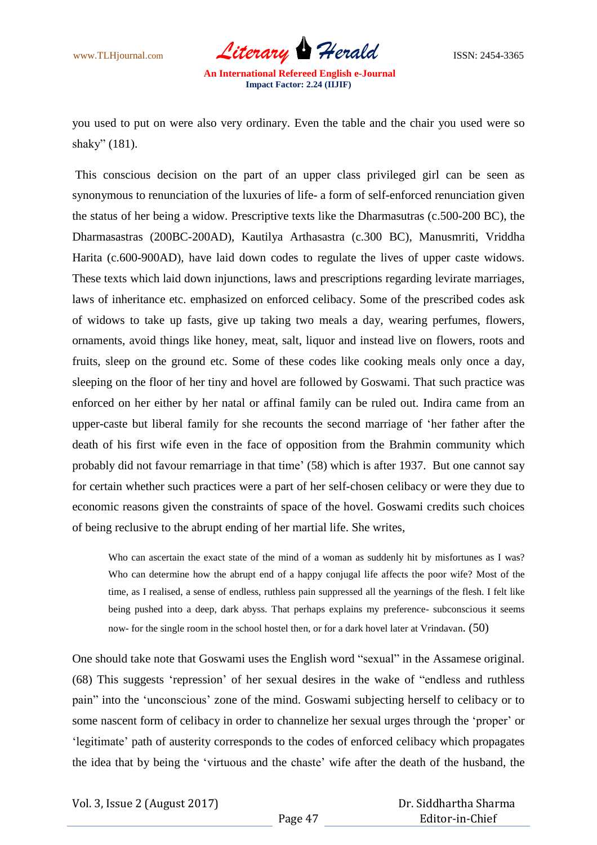

you used to put on were also very ordinary. Even the table and the chair you used were so shaky" (181).

This conscious decision on the part of an upper class privileged girl can be seen as synonymous to renunciation of the luxuries of life- a form of self-enforced renunciation given the status of her being a widow. Prescriptive texts like the Dharmasutras (c.500-200 BC), the Dharmasastras (200BC-200AD), Kautilya Arthasastra (c.300 BC), Manusmriti, Vriddha Harita (c.600-900AD), have laid down codes to regulate the lives of upper caste widows. These texts which laid down injunctions, laws and prescriptions regarding levirate marriages, laws of inheritance etc. emphasized on enforced celibacy. Some of the prescribed codes ask of widows to take up fasts, give up taking two meals a day, wearing perfumes, flowers, ornaments, avoid things like honey, meat, salt, liquor and instead live on flowers, roots and fruits, sleep on the ground etc. Some of these codes like cooking meals only once a day, sleeping on the floor of her tiny and hovel are followed by Goswami. That such practice was enforced on her either by her natal or affinal family can be ruled out. Indira came from an upper-caste but liberal family for she recounts the second marriage of "her father after the death of his first wife even in the face of opposition from the Brahmin community which probably did not favour remarriage in that time' (58) which is after 1937. But one cannot say for certain whether such practices were a part of her self-chosen celibacy or were they due to economic reasons given the constraints of space of the hovel. Goswami credits such choices of being reclusive to the abrupt ending of her martial life. She writes,

Who can ascertain the exact state of the mind of a woman as suddenly hit by misfortunes as I was? Who can determine how the abrupt end of a happy conjugal life affects the poor wife? Most of the time, as I realised, a sense of endless, ruthless pain suppressed all the yearnings of the flesh. I felt like being pushed into a deep, dark abyss. That perhaps explains my preference- subconscious it seems now- for the single room in the school hostel then, or for a dark hovel later at Vrindavan. (50)

One should take note that Goswami uses the English word "sexual" in the Assamese original. (68) This suggests "repression" of her sexual desires in the wake of "endless and ruthless pain" into the "unconscious" zone of the mind. Goswami subjecting herself to celibacy or to some nascent form of celibacy in order to channelize her sexual urges through the "proper" or 'legitimate' path of austerity corresponds to the codes of enforced celibacy which propagates the idea that by being the "virtuous and the chaste" wife after the death of the husband, the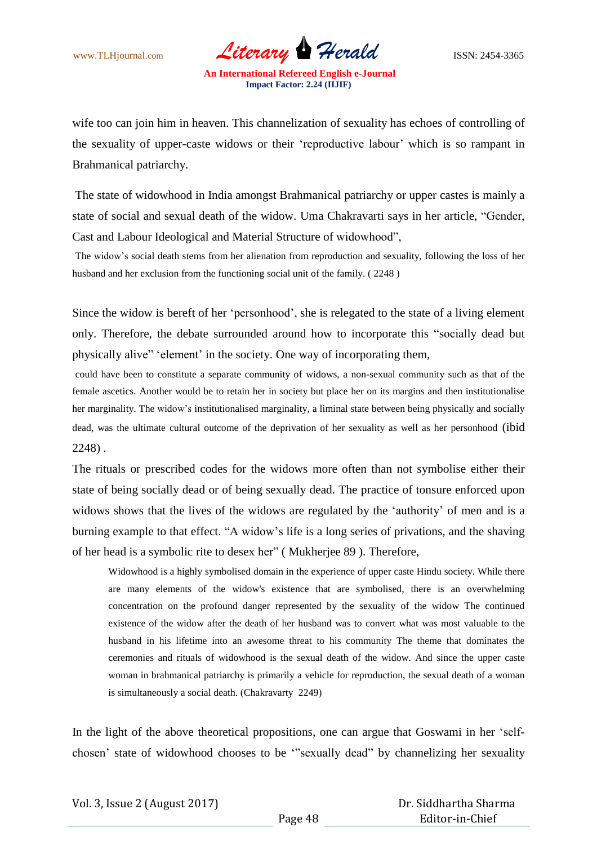www.TLHjournal.com *Literary Herald*ISSN: 2454-3365

wife too can join him in heaven. This channelization of sexuality has echoes of controlling of the sexuality of upper-caste widows or their "reproductive labour" which is so rampant in Brahmanical patriarchy.

The state of widowhood in India amongst Brahmanical patriarchy or upper castes is mainly a state of social and sexual death of the widow. Uma Chakravarti says in her article, "Gender, Cast and Labour Ideological and Material Structure of widowhood",

The widow"s social death stems from her alienation from reproduction and sexuality, following the loss of her husband and her exclusion from the functioning social unit of the family. ( 2248 )

Since the widow is bereft of her "personhood", she is relegated to the state of a living element only. Therefore, the debate surrounded around how to incorporate this "socially dead but physically alive" "element" in the society. One way of incorporating them,

could have been to constitute a separate community of widows, a non-sexual community such as that of the female ascetics. Another would be to retain her in society but place her on its margins and then institutionalise her marginality. The widow"s institutionalised marginality, a liminal state between being physically and socially dead, was the ultimate cultural outcome of the deprivation of her sexuality as well as her personhood (ibid 2248) .

The rituals or prescribed codes for the widows more often than not symbolise either their state of being socially dead or of being sexually dead. The practice of tonsure enforced upon widows shows that the lives of the widows are regulated by the "authority" of men and is a burning example to that effect. "A widow"s life is a long series of privations, and the shaving of her head is a symbolic rite to desex her" ( Mukherjee 89 ). Therefore,

Widowhood is a highly symbolised domain in the experience of upper caste Hindu society. While there are many elements of the widow's existence that are symbolised, there is an overwhelming concentration on the profound danger represented by the sexuality of the widow The continued existence of the widow after the death of her husband was to convert what was most valuable to the husband in his lifetime into an awesome threat to his community The theme that dominates the ceremonies and rituals of widowhood is the sexual death of the widow. And since the upper caste woman in brahmanical patriarchy is primarily a vehicle for reproduction, the sexual death of a woman is simultaneously a social death. (Chakravarty 2249)

In the light of the above theoretical propositions, one can argue that Goswami in her "selfchosen" state of widowhood chooses to be ""sexually dead" by channelizing her sexuality

 Dr. Siddhartha Sharma Editor-in-Chief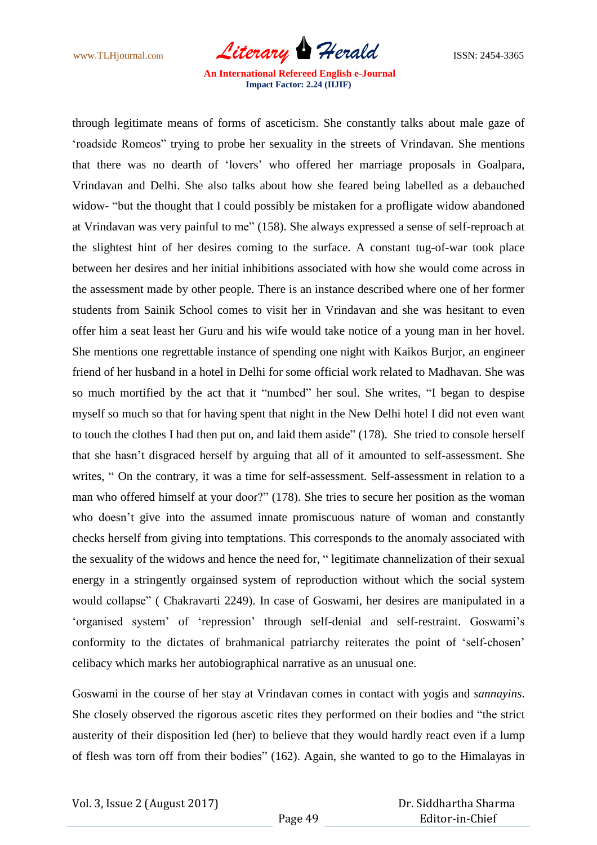www.TLHjournal.com *Literary Herald*ISSN: 2454-3365

through legitimate means of forms of asceticism. She constantly talks about male gaze of "roadside Romeos" trying to probe her sexuality in the streets of Vrindavan. She mentions that there was no dearth of "lovers" who offered her marriage proposals in Goalpara, Vrindavan and Delhi. She also talks about how she feared being labelled as a debauched widow- "but the thought that I could possibly be mistaken for a profligate widow abandoned at Vrindavan was very painful to me" (158). She always expressed a sense of self-reproach at the slightest hint of her desires coming to the surface. A constant tug-of-war took place between her desires and her initial inhibitions associated with how she would come across in the assessment made by other people. There is an instance described where one of her former students from Sainik School comes to visit her in Vrindavan and she was hesitant to even offer him a seat least her Guru and his wife would take notice of a young man in her hovel. She mentions one regrettable instance of spending one night with Kaikos Burjor, an engineer friend of her husband in a hotel in Delhi for some official work related to Madhavan. She was so much mortified by the act that it "numbed" her soul. She writes, "I began to despise myself so much so that for having spent that night in the New Delhi hotel I did not even want to touch the clothes I had then put on, and laid them aside" (178). She tried to console herself that she hasn"t disgraced herself by arguing that all of it amounted to self-assessment. She writes, " On the contrary, it was a time for self-assessment. Self-assessment in relation to a man who offered himself at your door?" (178). She tries to secure her position as the woman who doesn"t give into the assumed innate promiscuous nature of woman and constantly checks herself from giving into temptations. This corresponds to the anomaly associated with the sexuality of the widows and hence the need for, " legitimate channelization of their sexual energy in a stringently orgainsed system of reproduction without which the social system would collapse" ( Chakravarti 2249). In case of Goswami, her desires are manipulated in a 'organised system' of 'repression' through self-denial and self-restraint. Goswami's conformity to the dictates of brahmanical patriarchy reiterates the point of "self-chosen" celibacy which marks her autobiographical narrative as an unusual one.

Goswami in the course of her stay at Vrindavan comes in contact with yogis and *sannayins*. She closely observed the rigorous ascetic rites they performed on their bodies and "the strict austerity of their disposition led (her) to believe that they would hardly react even if a lump of flesh was torn off from their bodies" (162). Again, she wanted to go to the Himalayas in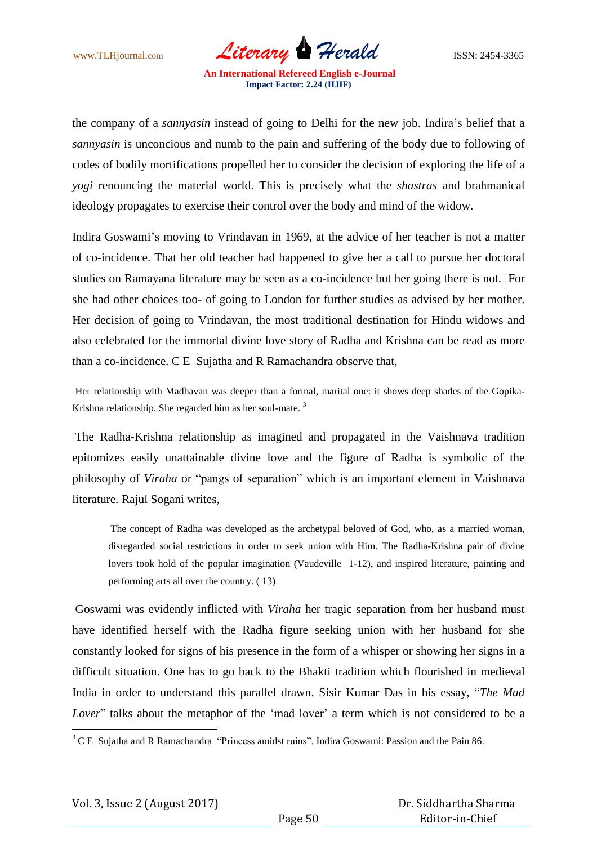www.TLHjournal.com *Literary Herald*ISSN: 2454-3365

the company of a *sannyasin* instead of going to Delhi for the new job. Indira"s belief that a *sannyasin* is unconcious and numb to the pain and suffering of the body due to following of codes of bodily mortifications propelled her to consider the decision of exploring the life of a *yogi* renouncing the material world. This is precisely what the *shastras* and brahmanical ideology propagates to exercise their control over the body and mind of the widow.

Indira Goswami"s moving to Vrindavan in 1969, at the advice of her teacher is not a matter of co-incidence. That her old teacher had happened to give her a call to pursue her doctoral studies on Ramayana literature may be seen as a co-incidence but her going there is not. For she had other choices too- of going to London for further studies as advised by her mother. Her decision of going to Vrindavan, the most traditional destination for Hindu widows and also celebrated for the immortal divine love story of Radha and Krishna can be read as more than a co-incidence. C E Sujatha and R Ramachandra observe that,

Her relationship with Madhavan was deeper than a formal, marital one: it shows deep shades of the Gopika-Krishna relationship. She regarded him as her soul-mate.<sup>3</sup>

The Radha-Krishna relationship as imagined and propagated in the Vaishnava tradition epitomizes easily unattainable divine love and the figure of Radha is symbolic of the philosophy of *Viraha* or "pangs of separation" which is an important element in Vaishnava literature. Rajul Sogani writes,

The concept of Radha was developed as the archetypal beloved of God, who, as a married woman, disregarded social restrictions in order to seek union with Him. The Radha-Krishna pair of divine lovers took hold of the popular imagination (Vaudeville 1-12), and inspired literature, painting and performing arts all over the country. ( 13)

Goswami was evidently inflicted with *Viraha* her tragic separation from her husband must have identified herself with the Radha figure seeking union with her husband for she constantly looked for signs of his presence in the form of a whisper or showing her signs in a difficult situation. One has to go back to the Bhakti tradition which flourished in medieval India in order to understand this parallel drawn. Sisir Kumar Das in his essay, "*The Mad Lover*" talks about the metaphor of the 'mad lover' a term which is not considered to be a

 $\overline{a}$ 

 $3$  C E Sujatha and R Ramachandra "Princess amidst ruins". Indira Goswami: Passion and the Pain 86.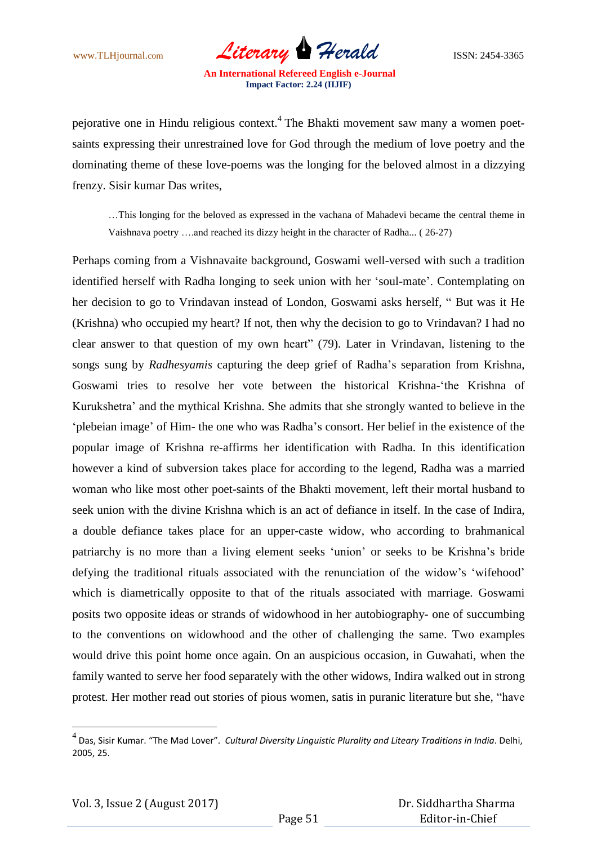www.TLHjournal.com *Literary Herald*ISSN: 2454-3365

pejorative one in Hindu religious context.<sup>4</sup> The Bhakti movement saw many a women poetsaints expressing their unrestrained love for God through the medium of love poetry and the dominating theme of these love-poems was the longing for the beloved almost in a dizzying frenzy. Sisir kumar Das writes,

…This longing for the beloved as expressed in the vachana of Mahadevi became the central theme in Vaishnava poetry ….and reached its dizzy height in the character of Radha... ( 26-27)

Perhaps coming from a Vishnavaite background, Goswami well-versed with such a tradition identified herself with Radha longing to seek union with her 'soul-mate'. Contemplating on her decision to go to Vrindavan instead of London, Goswami asks herself, " But was it He (Krishna) who occupied my heart? If not, then why the decision to go to Vrindavan? I had no clear answer to that question of my own heart" (79). Later in Vrindavan, listening to the songs sung by *Radhesyamis* capturing the deep grief of Radha"s separation from Krishna, Goswami tries to resolve her vote between the historical Krishna-"the Krishna of Kurukshetra" and the mythical Krishna. She admits that she strongly wanted to believe in the "plebeian image" of Him- the one who was Radha"s consort. Her belief in the existence of the popular image of Krishna re-affirms her identification with Radha. In this identification however a kind of subversion takes place for according to the legend, Radha was a married woman who like most other poet-saints of the Bhakti movement, left their mortal husband to seek union with the divine Krishna which is an act of defiance in itself. In the case of Indira, a double defiance takes place for an upper-caste widow, who according to brahmanical patriarchy is no more than a living element seeks "union" or seeks to be Krishna"s bride defying the traditional rituals associated with the renunciation of the widow's 'wifehood' which is diametrically opposite to that of the rituals associated with marriage. Goswami posits two opposite ideas or strands of widowhood in her autobiography- one of succumbing to the conventions on widowhood and the other of challenging the same. Two examples would drive this point home once again. On an auspicious occasion, in Guwahati, when the family wanted to serve her food separately with the other widows, Indira walked out in strong protest. Her mother read out stories of pious women, satis in puranic literature but she, "have

 $\overline{a}$ 

<sup>4</sup> Das, Sisir Kumar. "The Mad Lover". *Cultural Diversity Linguistic Plurality and Liteary Traditions in India*. Delhi, 2005, 25.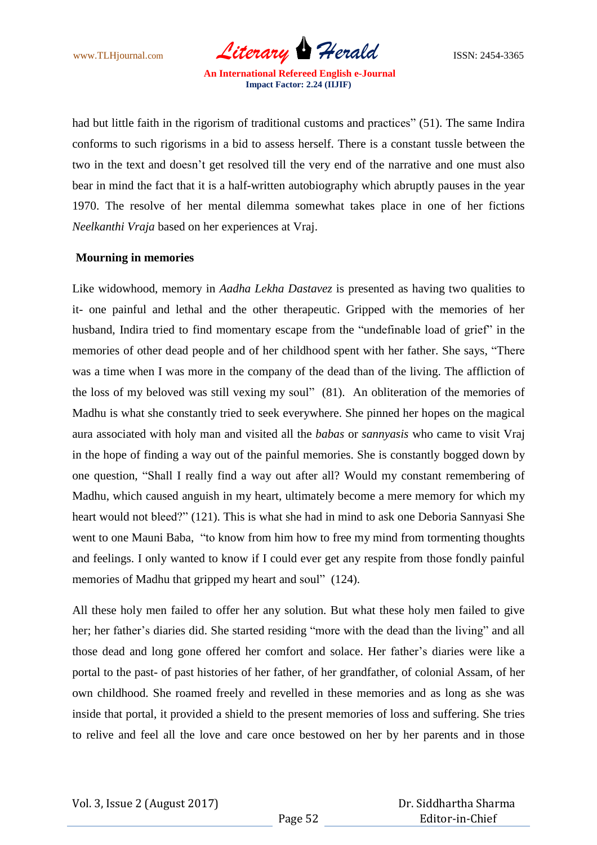www.TLHjournal.com *Literary Herald*ISSN: 2454-3365

had but little faith in the rigorism of traditional customs and practices" (51). The same Indira conforms to such rigorisms in a bid to assess herself. There is a constant tussle between the two in the text and doesn't get resolved till the very end of the narrative and one must also bear in mind the fact that it is a half-written autobiography which abruptly pauses in the year 1970. The resolve of her mental dilemma somewhat takes place in one of her fictions *Neelkanthi Vraja* based on her experiences at Vraj.

#### **Mourning in memories**

Like widowhood, memory in *Aadha Lekha Dastavez* is presented as having two qualities to it- one painful and lethal and the other therapeutic. Gripped with the memories of her husband, Indira tried to find momentary escape from the "undefinable load of grief" in the memories of other dead people and of her childhood spent with her father. She says, "There was a time when I was more in the company of the dead than of the living. The affliction of the loss of my beloved was still vexing my soul" (81). An obliteration of the memories of Madhu is what she constantly tried to seek everywhere. She pinned her hopes on the magical aura associated with holy man and visited all the *babas* or *sannyasis* who came to visit Vraj in the hope of finding a way out of the painful memories. She is constantly bogged down by one question, "Shall I really find a way out after all? Would my constant remembering of Madhu, which caused anguish in my heart, ultimately become a mere memory for which my heart would not bleed?" (121). This is what she had in mind to ask one Deboria Sannyasi She went to one Mauni Baba, "to know from him how to free my mind from tormenting thoughts and feelings. I only wanted to know if I could ever get any respite from those fondly painful memories of Madhu that gripped my heart and soul" (124).

All these holy men failed to offer her any solution. But what these holy men failed to give her; her father's diaries did. She started residing "more with the dead than the living" and all those dead and long gone offered her comfort and solace. Her father"s diaries were like a portal to the past- of past histories of her father, of her grandfather, of colonial Assam, of her own childhood. She roamed freely and revelled in these memories and as long as she was inside that portal, it provided a shield to the present memories of loss and suffering. She tries to relive and feel all the love and care once bestowed on her by her parents and in those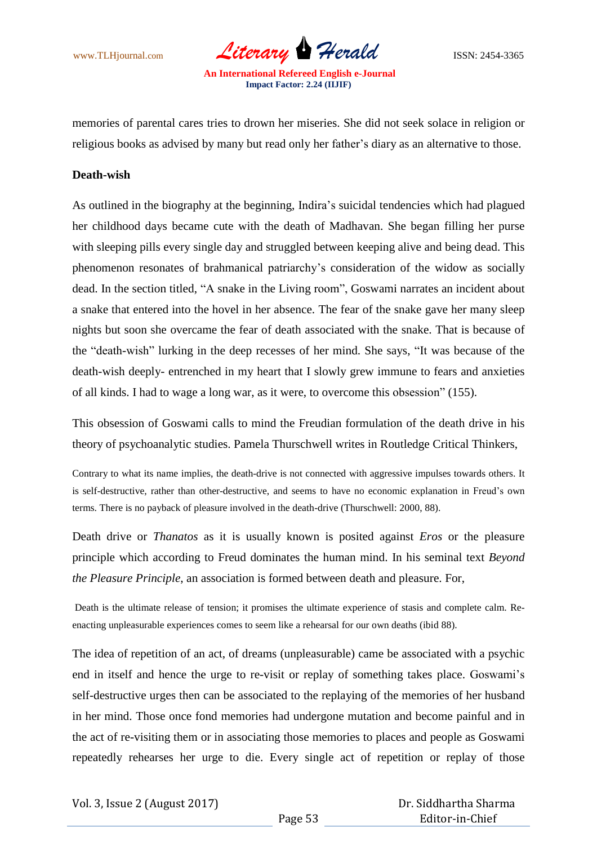www.TLHjournal.com *Literary Herald*ISSN: 2454-3365

memories of parental cares tries to drown her miseries. She did not seek solace in religion or religious books as advised by many but read only her father"s diary as an alternative to those.

#### **Death-wish**

As outlined in the biography at the beginning, Indira"s suicidal tendencies which had plagued her childhood days became cute with the death of Madhavan. She began filling her purse with sleeping pills every single day and struggled between keeping alive and being dead. This phenomenon resonates of brahmanical patriarchy"s consideration of the widow as socially dead. In the section titled, "A snake in the Living room", Goswami narrates an incident about a snake that entered into the hovel in her absence. The fear of the snake gave her many sleep nights but soon she overcame the fear of death associated with the snake. That is because of the "death-wish" lurking in the deep recesses of her mind. She says, "It was because of the death-wish deeply- entrenched in my heart that I slowly grew immune to fears and anxieties of all kinds. I had to wage a long war, as it were, to overcome this obsession" (155).

This obsession of Goswami calls to mind the Freudian formulation of the death drive in his theory of psychoanalytic studies. Pamela Thurschwell writes in Routledge Critical Thinkers,

Contrary to what its name implies, the death-drive is not connected with aggressive impulses towards others. It is self-destructive, rather than other-destructive, and seems to have no economic explanation in Freud"s own terms. There is no payback of pleasure involved in the death-drive (Thurschwell: 2000, 88).

Death drive or *Thanatos* as it is usually known is posited against *Eros* or the pleasure principle which according to Freud dominates the human mind. In his seminal text *Beyond the Pleasure Principle*, an association is formed between death and pleasure. For,

Death is the ultimate release of tension; it promises the ultimate experience of stasis and complete calm. Reenacting unpleasurable experiences comes to seem like a rehearsal for our own deaths (ibid 88).

The idea of repetition of an act, of dreams (unpleasurable) came be associated with a psychic end in itself and hence the urge to re-visit or replay of something takes place. Goswami's self-destructive urges then can be associated to the replaying of the memories of her husband in her mind. Those once fond memories had undergone mutation and become painful and in the act of re-visiting them or in associating those memories to places and people as Goswami repeatedly rehearses her urge to die. Every single act of repetition or replay of those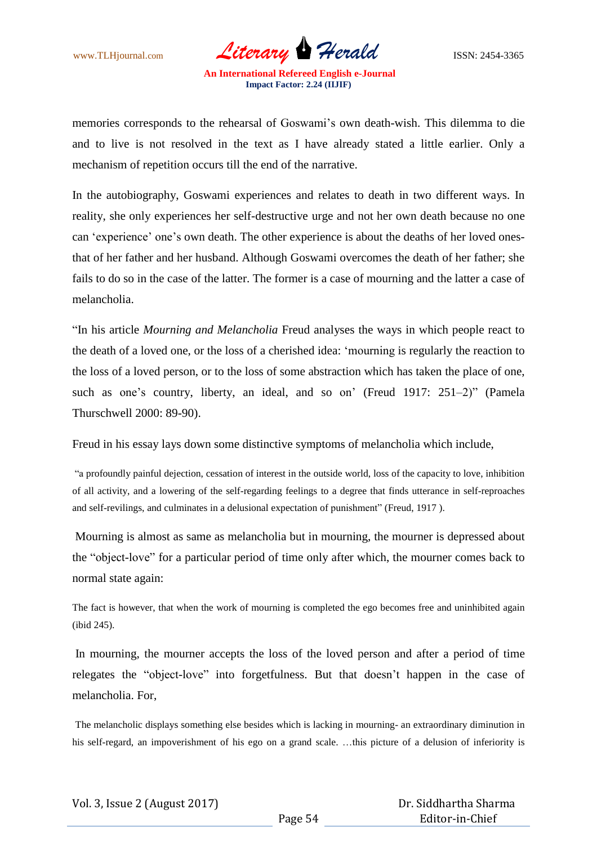www.TLHjournal.com *Literary Herald*ISSN: 2454-3365

memories corresponds to the rehearsal of Goswami's own death-wish. This dilemma to die and to live is not resolved in the text as I have already stated a little earlier. Only a mechanism of repetition occurs till the end of the narrative.

In the autobiography, Goswami experiences and relates to death in two different ways. In reality, she only experiences her self-destructive urge and not her own death because no one can 'experience' one's own death. The other experience is about the deaths of her loved onesthat of her father and her husband. Although Goswami overcomes the death of her father; she fails to do so in the case of the latter. The former is a case of mourning and the latter a case of melancholia.

"In his article *Mourning and Melancholia* Freud analyses the ways in which people react to the death of a loved one, or the loss of a cherished idea: "mourning is regularly the reaction to the loss of a loved person, or to the loss of some abstraction which has taken the place of one, such as one's country, liberty, an ideal, and so on' (Freud 1917: 251–2)" (Pamela Thurschwell 2000: 89-90).

Freud in his essay lays down some distinctive symptoms of melancholia which include,

"a profoundly painful dejection, cessation of interest in the outside world, loss of the capacity to love, inhibition of all activity, and a lowering of the self-regarding feelings to a degree that finds utterance in self-reproaches and self-revilings, and culminates in a delusional expectation of punishment" (Freud, 1917 ).

Mourning is almost as same as melancholia but in mourning, the mourner is depressed about the "object-love" for a particular period of time only after which, the mourner comes back to normal state again:

The fact is however, that when the work of mourning is completed the ego becomes free and uninhibited again (ibid 245).

In mourning, the mourner accepts the loss of the loved person and after a period of time relegates the "object-love" into forgetfulness. But that doesn"t happen in the case of melancholia. For,

The melancholic displays something else besides which is lacking in mourning- an extraordinary diminution in his self-regard, an impoverishment of his ego on a grand scale. ...this picture of a delusion of inferiority is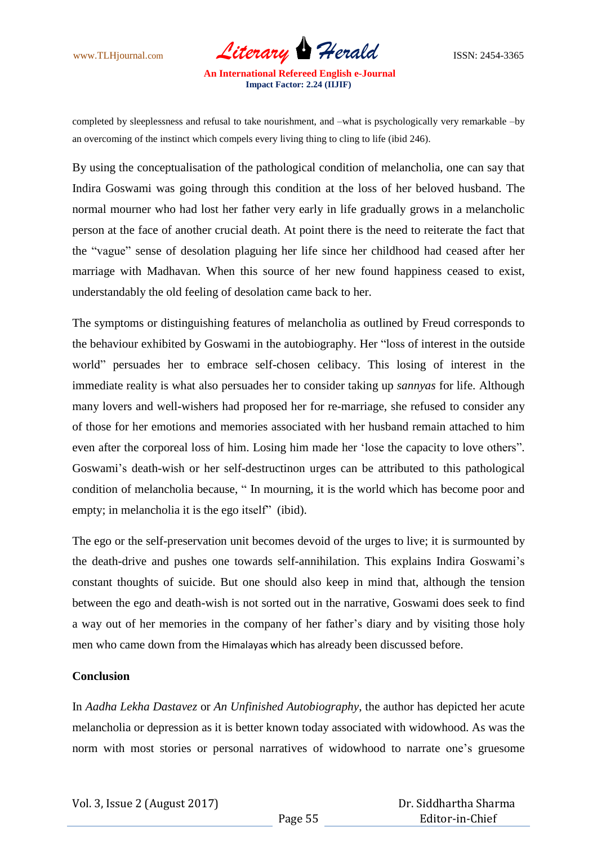

**Impact Factor: 2.24 (IIJIF)**

completed by sleeplessness and refusal to take nourishment, and –what is psychologically very remarkable –by an overcoming of the instinct which compels every living thing to cling to life (ibid 246).

By using the conceptualisation of the pathological condition of melancholia, one can say that Indira Goswami was going through this condition at the loss of her beloved husband. The normal mourner who had lost her father very early in life gradually grows in a melancholic person at the face of another crucial death. At point there is the need to reiterate the fact that the "vague" sense of desolation plaguing her life since her childhood had ceased after her marriage with Madhavan. When this source of her new found happiness ceased to exist, understandably the old feeling of desolation came back to her.

The symptoms or distinguishing features of melancholia as outlined by Freud corresponds to the behaviour exhibited by Goswami in the autobiography. Her "loss of interest in the outside world" persuades her to embrace self-chosen celibacy. This losing of interest in the immediate reality is what also persuades her to consider taking up *sannyas* for life. Although many lovers and well-wishers had proposed her for re-marriage, she refused to consider any of those for her emotions and memories associated with her husband remain attached to him even after the corporeal loss of him. Losing him made her "lose the capacity to love others". Goswami"s death-wish or her self-destructinon urges can be attributed to this pathological condition of melancholia because, " In mourning, it is the world which has become poor and empty; in melancholia it is the ego itself" (ibid).

The ego or the self-preservation unit becomes devoid of the urges to live; it is surmounted by the death-drive and pushes one towards self-annihilation. This explains Indira Goswami"s constant thoughts of suicide. But one should also keep in mind that, although the tension between the ego and death-wish is not sorted out in the narrative, Goswami does seek to find a way out of her memories in the company of her father's diary and by visiting those holy men who came down from the Himalayas which has already been discussed before.

#### **Conclusion**

In *Aadha Lekha Dastavez* or *An Unfinished Autobiography*, the author has depicted her acute melancholia or depression as it is better known today associated with widowhood. As was the norm with most stories or personal narratives of widowhood to narrate one"s gruesome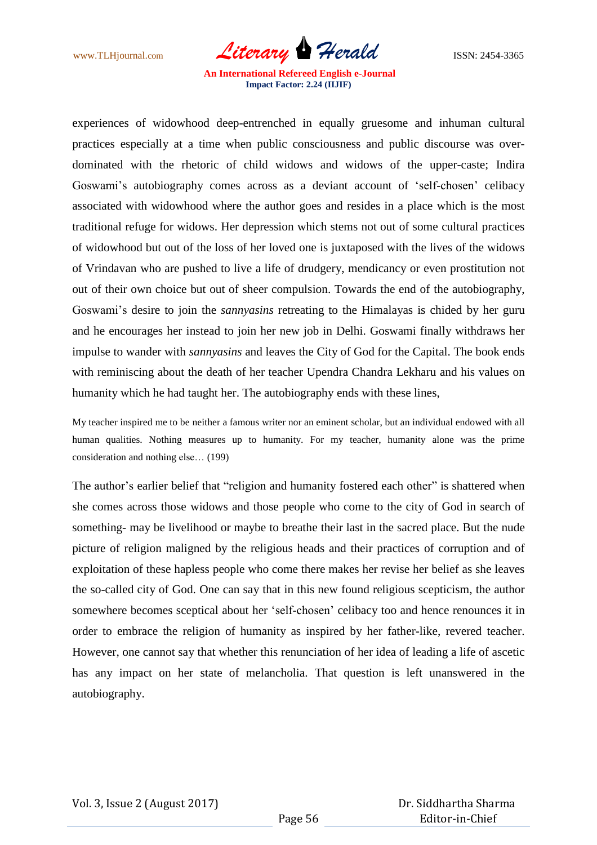www.TLHjournal.com *Literary Herald*ISSN: 2454-3365

experiences of widowhood deep-entrenched in equally gruesome and inhuman cultural practices especially at a time when public consciousness and public discourse was overdominated with the rhetoric of child widows and widows of the upper-caste; Indira Goswami's autobiography comes across as a deviant account of 'self-chosen' celibacy associated with widowhood where the author goes and resides in a place which is the most traditional refuge for widows. Her depression which stems not out of some cultural practices of widowhood but out of the loss of her loved one is juxtaposed with the lives of the widows of Vrindavan who are pushed to live a life of drudgery, mendicancy or even prostitution not out of their own choice but out of sheer compulsion. Towards the end of the autobiography, Goswami"s desire to join the *sannyasins* retreating to the Himalayas is chided by her guru and he encourages her instead to join her new job in Delhi. Goswami finally withdraws her impulse to wander with *sannyasins* and leaves the City of God for the Capital. The book ends with reminiscing about the death of her teacher Upendra Chandra Lekharu and his values on humanity which he had taught her. The autobiography ends with these lines,

My teacher inspired me to be neither a famous writer nor an eminent scholar, but an individual endowed with all human qualities. Nothing measures up to humanity. For my teacher, humanity alone was the prime consideration and nothing else… (199)

The author's earlier belief that "religion and humanity fostered each other" is shattered when she comes across those widows and those people who come to the city of God in search of something- may be livelihood or maybe to breathe their last in the sacred place. But the nude picture of religion maligned by the religious heads and their practices of corruption and of exploitation of these hapless people who come there makes her revise her belief as she leaves the so-called city of God. One can say that in this new found religious scepticism, the author somewhere becomes sceptical about her "self-chosen" celibacy too and hence renounces it in order to embrace the religion of humanity as inspired by her father-like, revered teacher. However, one cannot say that whether this renunciation of her idea of leading a life of ascetic has any impact on her state of melancholia. That question is left unanswered in the autobiography.